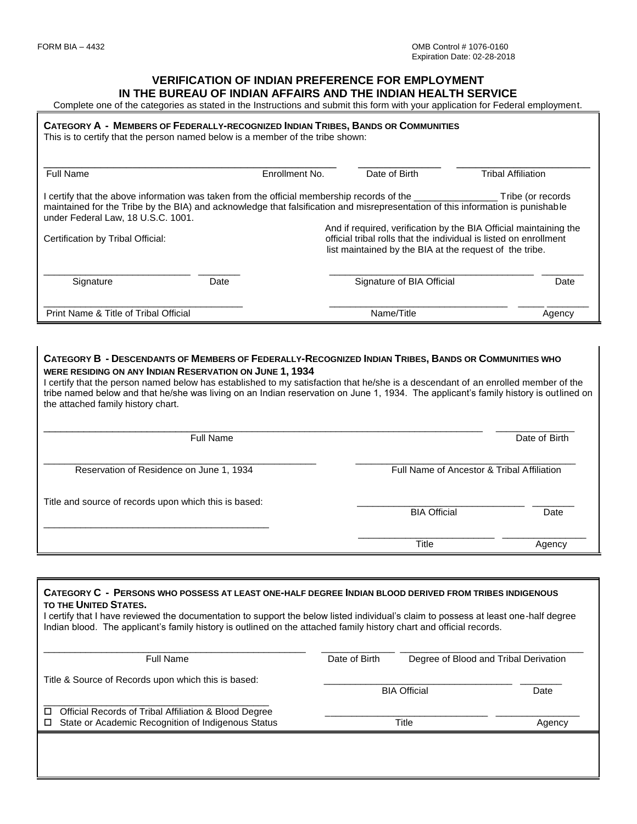#### **VERIFICATION OF INDIAN PREFERENCE FOR EMPLOYMENT IN THE BUREAU OF INDIAN AFFAIRS AND THE INDIAN HEALTH SERVICE**

Complete one of the categories as stated in the Instructions and submit this form with your application for Federal employment.

#### CATEGORY A - MEMBERS OF FEDERALLY-RECOGNIZED INDIAN TRIBES, BANDS OR COMMUNITIES

This is to certify that the person named below is a member of the tribe shown:

| <b>Full Name</b>                                                                                                                                                                                                                                                                 |      | Enrollment No. | Date of Birth                                                                                                                                                                                     | <b>Tribal Affiliation</b> |  |  |
|----------------------------------------------------------------------------------------------------------------------------------------------------------------------------------------------------------------------------------------------------------------------------------|------|----------------|---------------------------------------------------------------------------------------------------------------------------------------------------------------------------------------------------|---------------------------|--|--|
| I certify that the above information was taken from the official membership records of the ____________<br>maintained for the Tribe by the BIA) and acknowledge that falsification and misrepresentation of this information is punishable<br>under Federal Law, 18 U.S.C. 1001. |      |                |                                                                                                                                                                                                   | Tribe (or records         |  |  |
| Certification by Tribal Official:                                                                                                                                                                                                                                                |      |                | And if required, verification by the BIA Official maintaining the<br>official tribal rolls that the individual is listed on enrollment<br>list maintained by the BIA at the request of the tribe. |                           |  |  |
| Signature                                                                                                                                                                                                                                                                        | Date |                | Signature of BIA Official                                                                                                                                                                         | Date                      |  |  |
| Print Name & Title of Tribal Official                                                                                                                                                                                                                                            |      |                | Name/Title                                                                                                                                                                                        | Agency                    |  |  |

#### CATEGORY B - DESCENDANTS OF MEMBERS OF FEDERALLY-RECOGNIZED INDIAN TRIBES, BANDS OR COMMUNITIES WHO **WERE RESIDING ON ANY INDIAN RESERVATION ON JUNE 1, 1934**

I certify that the person named below has established to my satisfaction that he/she is a descendant of an enrolled member of the tribe named below and that he/she was living on an Indian reservation on June 1, 1934. The applicant's family history is outlined on the attached family history chart.

| <b>Full Name</b>                                      | Date of Birth                              |        |
|-------------------------------------------------------|--------------------------------------------|--------|
| Reservation of Residence on June 1, 1934              | Full Name of Ancestor & Tribal Affiliation |        |
| Title and source of records upon which this is based: | <b>BIA Official</b>                        | Date   |
|                                                       | Title                                      | Agency |

# **CATEGORY C - PERSONS WHO POSSESS AT LEAST ONE-HALF DEGREE INDIAN BLOOD DERIVED FROM TRIBES INDIGENOUS TO THE UNITED STATES.** I certify that I have reviewed the documentation to support the below listed individual's claim to possess at least one-half degree Indian blood. The applicant's family history is outlined on the attached family history chart and official records. \_\_\_\_\_\_\_\_\_\_\_\_\_\_\_\_\_\_\_\_\_\_\_\_\_\_\_\_\_\_\_\_\_\_\_\_\_\_\_\_\_\_\_\_\_\_\_\_\_\_ \_\_\_\_\_\_\_\_\_\_\_\_\_\_ \_\_\_\_\_\_\_\_\_\_\_\_\_\_\_\_\_\_\_\_\_\_\_\_\_\_\_\_\_\_\_\_\_\_\_ Full Name Date of Birth Degree of Blood and Tribal Derivation Title & Source of Records upon which this is based: enter and the control of the BIA Official Date of the Date of the Date of the Date of the Date of the Date of the Date of the Date of the Date of the Date of the Date of the Date of the Date of the Date of the Date of the \_\_\_\_\_\_\_\_\_\_\_\_\_\_\_\_\_\_\_\_\_\_\_\_\_\_\_\_\_\_\_\_\_\_\_\_\_\_\_\_\_\_\_ □ Official Records of Tribal Affiliation & Blood Degree □ State or Academic Recognition of Indigenous Status Title Title Title Agency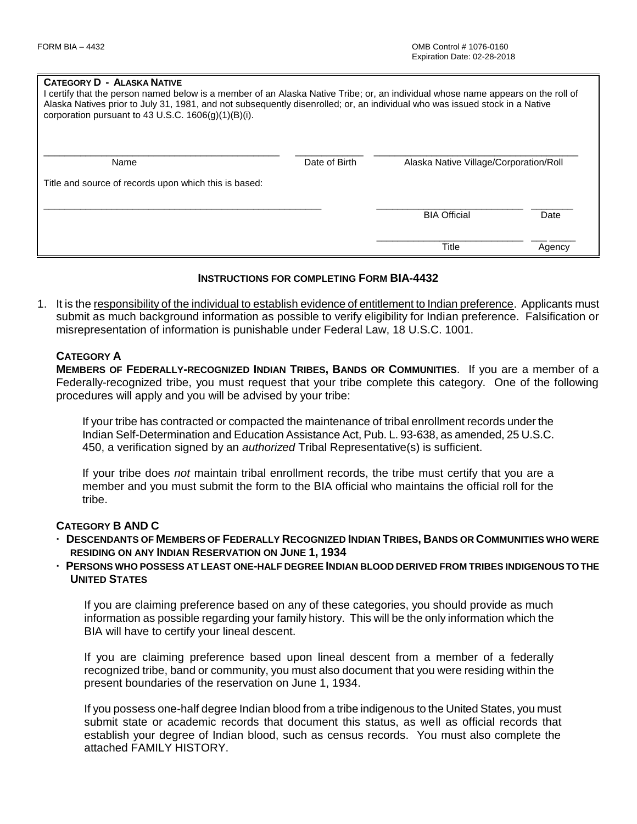#### **CATEGORY D - ALASKA NATIVE**

| I certify that the person named below is a member of an Alaska Native Tribe; or, an individual whose name appears on the roll of<br>Alaska Natives prior to July 31, 1981, and not subsequently disenrolled; or, an individual who was issued stock in a Native<br>corporation pursuant to 43 U.S.C. $1606(q)(1)(B)(i)$ . |               |                                        |        |  |  |  |
|---------------------------------------------------------------------------------------------------------------------------------------------------------------------------------------------------------------------------------------------------------------------------------------------------------------------------|---------------|----------------------------------------|--------|--|--|--|
| Name                                                                                                                                                                                                                                                                                                                      | Date of Birth | Alaska Native Village/Corporation/Roll |        |  |  |  |
| Title and source of records upon which this is based:                                                                                                                                                                                                                                                                     |               |                                        |        |  |  |  |
|                                                                                                                                                                                                                                                                                                                           |               | <b>BIA Official</b>                    | Date   |  |  |  |
|                                                                                                                                                                                                                                                                                                                           |               | <b>Title</b>                           | Agency |  |  |  |

#### **INSTRUCTIONS FOR COMPLETING FORM BIA-4432**

1. It is the responsibility of the individual to establish evidence of entitlement to Indian preference. Applicants must submit as much background information as possible to verify eligibility for Indian preference. Falsification or misrepresentation of information is punishable under Federal Law, 18 U.S.C. 1001.

#### **CATEGORY A**

**MEMBERS OF FEDERALLY-RECOGNIZED INDIAN TRIBES, BANDS OR COMMUNITIES**. If you are a member of a Federally-recognized tribe, you must request that your tribe complete this category. One of the following procedures will apply and you will be advised by your tribe:

If your tribe has contracted or compacted the maintenance of tribal enrollment records under the Indian Self-Determination and Education Assistance Act, Pub. L. 93-638, as amended, 25 U.S.C. 450, a verification signed by an *authorized* Tribal Representative(s) is sufficient.

If your tribe does *not* maintain tribal enrollment records, the tribe must certify that you are a member and you must submit the form to the BIA official who maintains the official roll for the tribe.

### **CATEGORY B AND C**

- DESCENDANTS OF MEMBERS OF FEDERALLY RECOGNIZED INDIAN TRIBES, BANDS OR COMMUNITIES WHO WERE **RESIDING ON ANY INDIAN RESERVATION ON JUNE 1, 1934**
- **· PERSONS WHO POSSESS AT LEAST ONE-HALF DEGREE INDIAN BLOOD DERIVED FROM TRIBES INDIGENOUS TO THE UNITED STATES**

If you are claiming preference based on any of these categories, you should provide as much information as possible regarding your family history. This will be the only information which the BIA will have to certify your lineal descent.

If you are claiming preference based upon lineal descent from a member of a federally recognized tribe, band or community, you must also document that you were residing within the present boundaries of the reservation on June 1, 1934.

If you possess one-half degree Indian blood from a tribe indigenous to the United States, you must submit state or academic records that document this status, as well as official records that establish your degree of Indian blood, such as census records. You must also complete the attached FAMILY HISTORY.